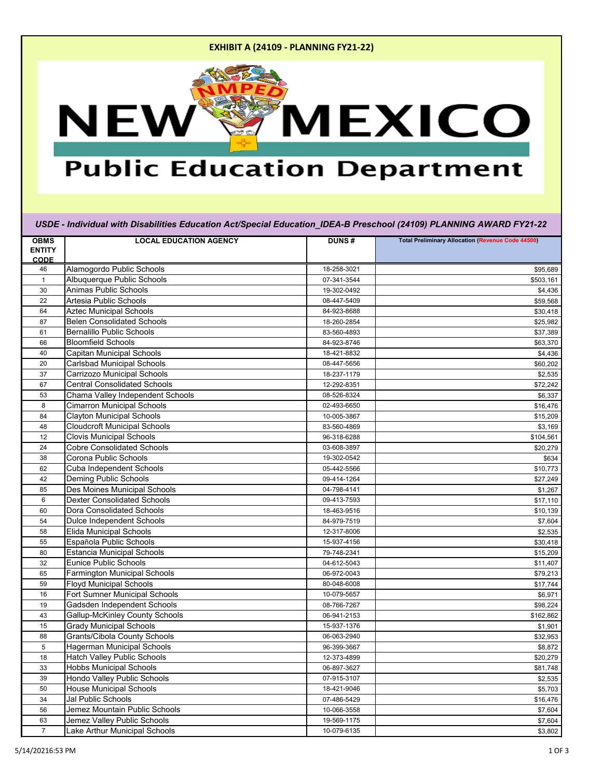## **EXHIBIT A (24109 - PLANNING FY21-22)**



## **Public Education Department**

*USDE - Individual with Disabilities Education Act/Special Education\_IDEA-B Preschool (24109) PLANNING AWARD FY21-22*

| <b>OBMS</b><br><b>ENTITY</b><br><b>CODE</b> | <b>LOCAL EDUCATION AGENCY</b>         | <b>DUNS#</b> | <b>Total Preliminary Allocation (Revenue Code 44500)</b> |
|---------------------------------------------|---------------------------------------|--------------|----------------------------------------------------------|
| 46                                          | Alamogordo Public Schools             | 18-258-3021  | \$95,689                                                 |
| $\mathbf{1}$                                | Albuquerque Public Schools            | 07-341-3544  | \$503,161                                                |
| 30                                          | <b>Animas Public Schools</b>          | 19-302-0492  | \$4,436                                                  |
| 22                                          | <b>Artesia Public Schools</b>         | 08-447-5409  | \$59,568                                                 |
| 64                                          | <b>Aztec Municipal Schools</b>        | 84-923-8688  | \$30,418                                                 |
| 87                                          | <b>Belen Consolidated Schools</b>     | 18-260-2854  | \$25,982                                                 |
| 61                                          | <b>Bernalillo Public Schools</b>      | 83-560-4893  | \$37,389                                                 |
| 66                                          | <b>Bloomfield Schools</b>             | 84-923-8746  | \$63,370                                                 |
| 40                                          | <b>Capitan Municipal Schools</b>      | 18-421-8832  | \$4,436                                                  |
| 20                                          | <b>Carlsbad Municipal Schools</b>     | 08-447-5656  | \$60,202                                                 |
| 37                                          | <b>Carrizozo Municipal Schools</b>    | 18-237-1179  | \$2,535                                                  |
| 67                                          | <b>Central Consolidated Schools</b>   | 12-292-8351  | \$72,242                                                 |
| 53                                          | Chama Valley Independent Schools      | 08-526-8324  | \$6,337                                                  |
| 8                                           | <b>Cimarron Municipal Schools</b>     | 02-493-6650  | \$16,476                                                 |
| 84                                          | <b>Clayton Municipal Schools</b>      | 10-005-3867  | \$15,209                                                 |
| 48                                          | <b>Cloudcroft Municipal Schools</b>   | 83-560-4869  | \$3,169                                                  |
| 12                                          | <b>Clovis Municipal Schools</b>       | 96-318-6288  | \$104,561                                                |
| 24                                          | <b>Cobre Consolidated Schools</b>     | 03-608-3897  | \$20,279                                                 |
| 38                                          | Corona Public Schools                 | 19-302-0542  | \$634                                                    |
| 62                                          | <b>Cuba Independent Schools</b>       | 05-442-5566  | \$10,773                                                 |
| 42                                          | <b>Deming Public Schools</b>          | 09-414-1264  | \$27,249                                                 |
| 85                                          | Des Moines Municipal Schools          | 04-798-4141  | \$1,267                                                  |
| 6                                           | <b>Dexter Consolidated Schools</b>    | 09-413-7593  | \$17,110                                                 |
| 60                                          | <b>Dora Consolidated Schools</b>      | 18-463-9516  | \$10,139                                                 |
| 54                                          | <b>Dulce Independent Schools</b>      | 84-979-7519  | \$7,604                                                  |
| 58                                          | <b>Elida Municipal Schools</b>        | 12-317-8006  | \$2,535                                                  |
| 55                                          | Española Public Schools               | 15-937-4156  | \$30,418                                                 |
| 80                                          | <b>Estancia Municipal Schools</b>     | 79-748-2341  | \$15,209                                                 |
| 32                                          | <b>Eunice Public Schools</b>          | 04-612-5043  | \$11,407                                                 |
| 65                                          | <b>Farmington Municipal Schools</b>   | 06-972-0043  | \$79,213                                                 |
| 59                                          | <b>Floyd Municipal Schools</b>        | 80-048-6008  | \$17,744                                                 |
| 16                                          | <b>Fort Sumner Municipal Schools</b>  | 10-079-5657  | \$6,971                                                  |
| 19                                          | Gadsden Independent Schools           | 08-766-7267  | \$98,224                                                 |
| 43                                          | <b>Gallup-McKinley County Schools</b> | 06-941-2153  | \$162,862                                                |
| 15                                          | <b>Grady Municipal Schools</b>        | 15-937-1376  | \$1,901                                                  |
| 88                                          | <b>Grants/Cibola County Schools</b>   | 06-063-2940  | \$32,953                                                 |
| 5                                           | <b>Hagerman Municipal Schools</b>     | 96-399-3667  | \$8,872                                                  |
| 18                                          | <b>Hatch Valley Public Schools</b>    | 12-373-4899  | \$20,279                                                 |
| 33                                          | <b>Hobbs Municipal Schools</b>        | 06-897-3627  | \$81,748                                                 |
| 39                                          | Hondo Valley Public Schools           | 07-915-3107  | \$2,535                                                  |
| 50                                          | <b>House Municipal Schools</b>        | 18-421-9046  | \$5,703                                                  |
| 34                                          | Jal Public Schools                    | 07-486-5429  | \$16,476                                                 |
| 56                                          | Jemez Mountain Public Schools         | 10-066-3558  | \$7,604                                                  |
| 63                                          | Jemez Valley Public Schools           | 19-569-1175  | \$7,604                                                  |
| $\mathbf{7}$                                | <b>Lake Arthur Municipal Schools</b>  | 10-079-6135  | \$3,802                                                  |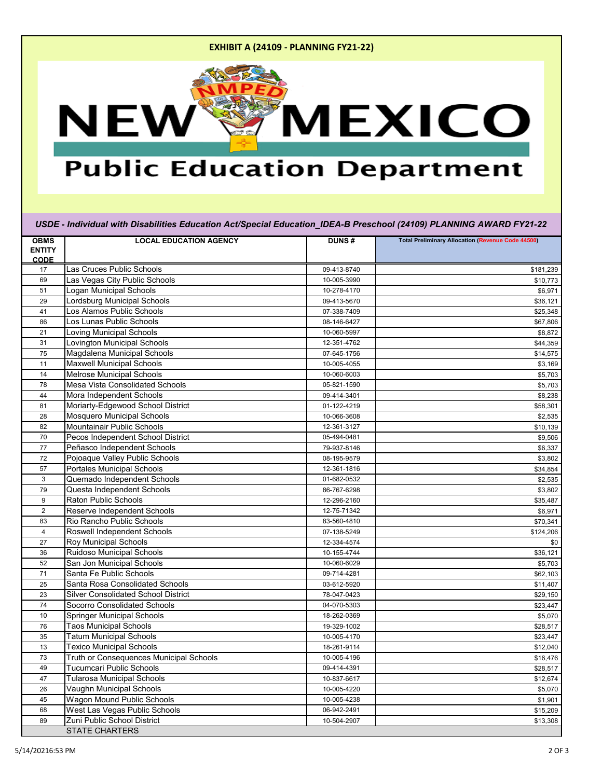## **EXHIBIT A (24109 - PLANNING FY21-22)**



## **Public Education Department**

*USDE - Individual with Disabilities Education Act/Special Education\_IDEA-B Preschool (24109) PLANNING AWARD FY21-22*

| <b>OBMS</b>                  | <b>LOCAL EDUCATION AGENCY</b>                  | <b>DUNS#</b> | <b>Total Preliminary Allocation (Revenue Code 44500)</b> |
|------------------------------|------------------------------------------------|--------------|----------------------------------------------------------|
| <b>ENTITY</b><br><b>CODE</b> |                                                |              |                                                          |
| 17                           | Las Cruces Public Schools                      | 09-413-8740  | \$181,239                                                |
| 69                           | Las Vegas City Public Schools                  | 10-005-3990  | \$10,773                                                 |
| 51                           | Logan Municipal Schools                        | 10-278-4170  | \$6,971                                                  |
| 29                           | Lordsburg Municipal Schools                    | 09-413-5670  | \$36,121                                                 |
| 41                           | Los Alamos Public Schools                      | 07-338-7409  | \$25,348                                                 |
| 86                           | Los Lunas Public Schools                       | 08-146-6427  | \$67,806                                                 |
| 21                           | <b>Loving Municipal Schools</b>                | 10-060-5997  | \$8,872                                                  |
| 31                           | <b>Lovington Municipal Schools</b>             | 12-351-4762  | \$44,359                                                 |
| 75                           | Magdalena Municipal Schools                    | 07-645-1756  | \$14,575                                                 |
| 11                           | <b>Maxwell Municipal Schools</b>               | 10-005-4055  | \$3,169                                                  |
| 14                           | <b>Melrose Municipal Schools</b>               | 10-060-6003  | \$5,703                                                  |
| 78                           | Mesa Vista Consolidated Schools                | 05-821-1590  | \$5,703                                                  |
| 44                           | Mora Independent Schools                       | 09-414-3401  | \$8,238                                                  |
| 81                           | Moriarty-Edgewood School District              | 01-122-4219  | \$58,301                                                 |
| 28                           | <b>Mosquero Municipal Schools</b>              | 10-066-3608  | \$2,535                                                  |
| 82                           | <b>Mountainair Public Schools</b>              | 12-361-3127  | \$10,139                                                 |
| 70                           | Pecos Independent School District              | 05-494-0481  | \$9,506                                                  |
| 77                           | Peñasco Independent Schools                    | 79-937-8146  | \$6,337                                                  |
| 72                           | Pojoaque Valley Public Schools                 | 08-195-9579  | \$3,802                                                  |
| 57                           | <b>Portales Municipal Schools</b>              | 12-361-1816  | \$34,854                                                 |
| 3                            | Quemado Independent Schools                    | 01-682-0532  | \$2,535                                                  |
| 79                           | Questa Independent Schools                     | 86-767-6298  | \$3,802                                                  |
| 9                            | <b>Raton Public Schools</b>                    | 12-296-2160  | \$35,487                                                 |
| $\overline{2}$               | Reserve Independent Schools                    | 12-75-71342  | \$6,971                                                  |
| 83                           | Rio Rancho Public Schools                      | 83-560-4810  | \$70,341                                                 |
| 4                            | <b>Roswell Independent Schools</b>             | 07-138-5249  | \$124,206                                                |
| 27                           | <b>Roy Municipal Schools</b>                   | 12-334-4574  | \$0                                                      |
| 36                           | <b>Ruidoso Municipal Schools</b>               | 10-155-4744  | \$36,121                                                 |
| 52                           | San Jon Municipal Schools                      | 10-060-6029  | \$5,703                                                  |
| 71                           | Santa Fe Public Schools                        | 09-714-4281  | \$62,103                                                 |
| 25                           | <b>Santa Rosa Consolidated Schools</b>         | 03-612-5920  | \$11,407                                                 |
| 23                           | <b>Silver Consolidated School District</b>     | 78-047-0423  | \$29,150                                                 |
| 74                           | <b>Socorro Consolidated Schools</b>            | 04-070-5303  | \$23,447                                                 |
| 10                           | <b>Springer Municipal Schools</b>              | 18-262-0369  | \$5,070                                                  |
| 76                           | <b>Taos Municipal Schools</b>                  | 19-329-1002  | \$28,517                                                 |
| 35                           | <b>Tatum Municipal Schools</b>                 | 10-005-4170  | \$23,447                                                 |
| 13                           | <b>Texico Municipal Schools</b>                | 18-261-9114  | \$12,040                                                 |
| 73                           | <b>Truth or Consequences Municipal Schools</b> | 10-005-4196  | \$16,476                                                 |
| 49                           | <b>Tucumcari Public Schools</b>                | 09-414-4391  | \$28,517                                                 |
| 47                           | <b>Tularosa Municipal Schools</b>              | 10-837-6617  | \$12,674                                                 |
| 26                           | Vaughn Municipal Schools                       | 10-005-4220  | \$5,070                                                  |
| 45                           | <b>Wagon Mound Public Schools</b>              | 10-005-4238  | \$1,901                                                  |
| 68                           | West Las Vegas Public Schools                  | 06-942-2491  | \$15,209                                                 |
| 89                           | Zuni Public School District                    | 10-504-2907  | \$13,308                                                 |
|                              | <b>STATE CHARTERS</b>                          |              |                                                          |